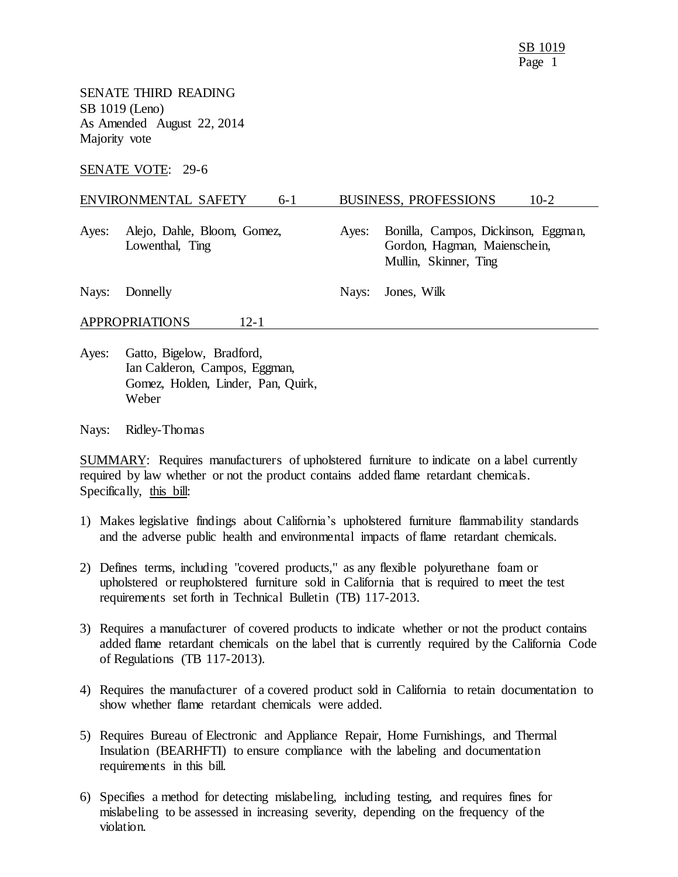SENATE THIRD READING SB 1019 (Leno) As Amended August 22, 2014 Majority vote

SENATE VOTE: 29-6

## ENVIRONMENTAL SAFETY 6-1 BUSINESS, PROFESSIONS 10-2

Ayes: Alejo, Dahle, Bloom, Gomez, Lowenthal, Ting

Ayes: Bonilla, Campos, Dickinson, Eggman, Gordon, Hagman, Maienschein, Mullin, Skinner, Ting

Nays: Donnelly Nays: Jones, Wilk

APPROPRIATIONS 12-1

Ayes: Gatto, Bigelow, Bradford, Ian Calderon, Campos, Eggman, Gomez, Holden, Linder, Pan, Quirk, Weber

Nays: Ridley-Thomas

SUMMARY: Requires manufacturers of upholstered furniture to indicate on a label currently required by law whether or not the product contains added flame retardant chemicals. Specifically, this bill:

- 1) Makes legislative findings about California's upholstered furniture flammability standards and the adverse public health and environmental impacts of flame retardant chemicals.
- 2) Defines terms, including "covered products," as any flexible polyurethane foam or upholstered or reupholstered furniture sold in California that is required to meet the test requirements set forth in Technical Bulletin (TB) 117-2013.
- 3) Requires a manufacturer of covered products to indicate whether or not the product contains added flame retardant chemicals on the label that is currently required by the California Code of Regulations (TB 117-2013).
- 4) Requires the manufacturer of a covered product sold in California to retain documentation to show whether flame retardant chemicals were added.
- 5) Requires Bureau of Electronic and Appliance Repair, Home Furnishings, and Thermal Insulation (BEARHFTI) to ensure compliance with the labeling and documentation requirements in this bill.
- 6) Specifies a method for detecting mislabeling, including testing, and requires fines for mislabeling to be assessed in increasing severity, depending on the frequency of the violation.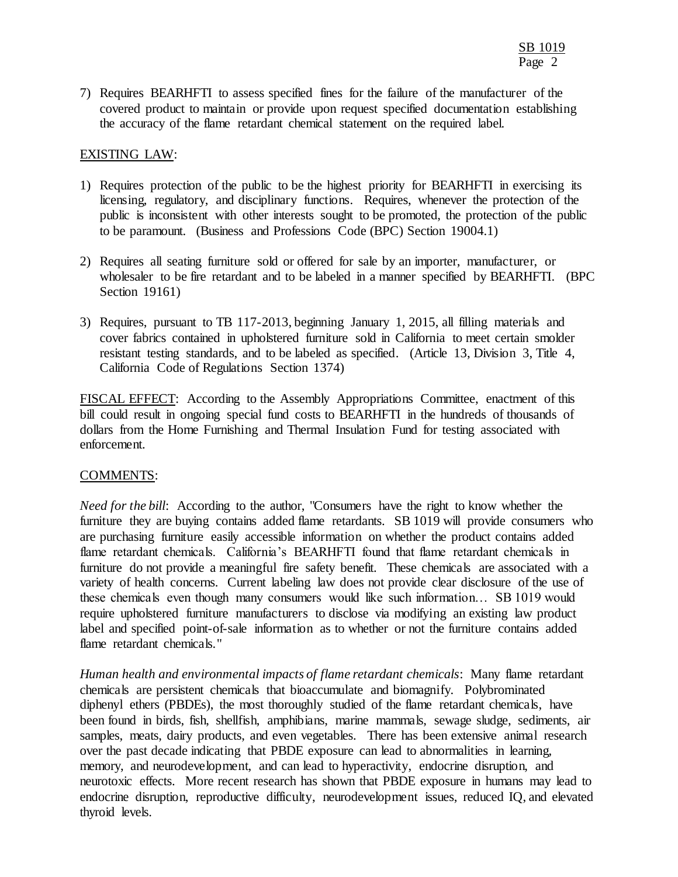7) Requires BEARHFTI to assess specified fines for the failure of the manufacturer of the covered product to maintain or provide upon request specified documentation establishing the accuracy of the flame retardant chemical statement on the required label.

## EXISTING LAW:

- 1) Requires protection of the public to be the highest priority for BEARHFTI in exercising its licensing, regulatory, and disciplinary functions. Requires, whenever the protection of the public is inconsistent with other interests sought to be promoted, the protection of the public to be paramount. (Business and Professions Code (BPC) Section 19004.1)
- 2) Requires all seating furniture sold or offered for sale by an importer, manufacturer, or wholesaler to be fire retardant and to be labeled in a manner specified by BEARHFTI. (BPC Section 19161)
- 3) Requires, pursuant to TB 117-2013, beginning January 1, 2015, all filling materials and cover fabrics contained in upholstered furniture sold in California to meet certain smolder resistant testing standards, and to be labeled as specified. (Article 13, Division 3, Title 4, California Code of Regulations Section 1374)

FISCAL EFFECT: According to the Assembly Appropriations Committee, enactment of this bill could result in ongoing special fund costs to BEARHFTI in the hundreds of thousands of dollars from the Home Furnishing and Thermal Insulation Fund for testing associated with enforcement.

## COMMENTS:

*Need for the bill*: According to the author, "Consumers have the right to know whether the furniture they are buying contains added flame retardants. SB 1019 will provide consumers who are purchasing furniture easily accessible information on whether the product contains added flame retardant chemicals. California's BEARHFTI found that flame retardant chemicals in furniture do not provide a meaningful fire safety benefit. These chemicals are associated with a variety of health concerns. Current labeling law does not provide clear disclosure of the use of these chemicals even though many consumers would like such information… SB 1019 would require upholstered furniture manufacturers to disclose via modifying an existing law product label and specified point-of-sale information as to whether or not the furniture contains added flame retardant chemicals."

*Human health and environmental impacts of flame retardant chemicals*: Many flame retardant chemicals are persistent chemicals that bioaccumulate and biomagnify. Polybrominated diphenyl ethers (PBDEs), the most thoroughly studied of the flame retardant chemicals, have been found in birds, fish, shellfish, amphibians, marine mammals, sewage sludge, sediments, air samples, meats, dairy products, and even vegetables. There has been extensive animal research over the past decade indicating that PBDE exposure can lead to abnormalities in learning, memory, and neurodevelopment, and can lead to hyperactivity, endocrine disruption, and neurotoxic effects. More recent research has shown that PBDE exposure in humans may lead to endocrine disruption, reproductive difficulty, neurodevelopment issues, reduced IQ, and elevated thyroid levels.